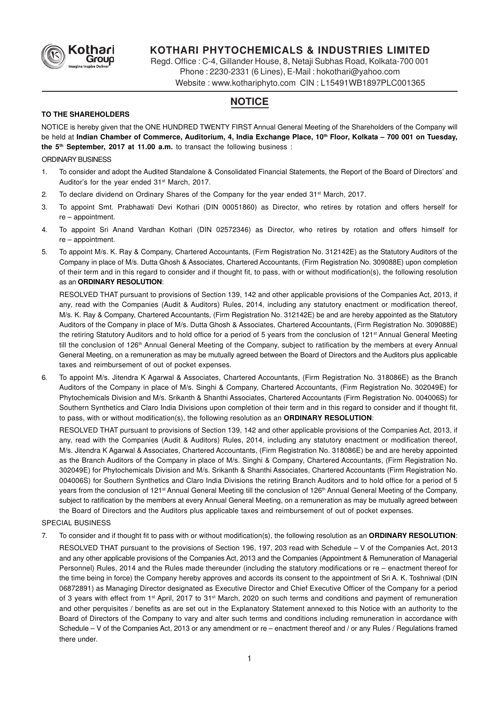

# **KOTHARI PHYTOCHEMICALS & INDUSTRIES LIMITED**

Regd. Office : C-4, Gillander House, 8, Netaji Subhas Road, Kolkata-700 001 Phone : 2230-2331 (6 Lines), E-Mail : hokothari@yahoo.com

Website : www.kothariphyto.com CIN : L15491WB1897PLC001365

# **NOTICE**

## **TO THE SHAREHOLDERS**

NOTICE is hereby given that the ONE HUNDRED TWENTY FIRST Annual General Meeting of the Shareholders of the Company will be held at **Indian Chamber of Commerce, Auditorium, 4, India Exchange Place, 10th Floor, Kolkata – 700 001 on Tuesday, the 5th September, 2017 at 11.00 a.m.** to transact the following business :

# ORDINARY BUSINESS

- 1. To consider and adopt the Audited Standalone & Consolidated Financial Statements, the Report of the Board of Directors' and Auditor's for the year ended 31<sup>st</sup> March, 2017.
- 2. To declare dividend on Ordinary Shares of the Company for the year ended  $31<sup>st</sup>$  March, 2017.
- 3. To appoint Smt. Prabhawati Devi Kothari (DIN 00051860) as Director, who retires by rotation and offers herself for re – appointment.
- 4. To appoint Sri Anand Vardhan Kothari (DIN 02572346) as Director, who retires by rotation and offers himself for re – appointment.
- 5. To appoint M/s. K. Ray & Company, Chartered Accountants, (Firm Registration No. 312142E) as the Statutory Auditors of the Company in place of M/s. Dutta Ghosh & Associates, Chartered Accountants, (Firm Registration No. 309088E) upon completion of their term and in this regard to consider and if thought fit, to pass, with or without modification(s), the following resolution as an **ORDINARY RESOLUTION**:

RESOLVED THAT pursuant to provisions of Section 139, 142 and other applicable provisions of the Companies Act, 2013, if any, read with the Companies (Audit & Auditors) Rules, 2014, including any statutory enactment or modification thereof, M/s. K. Ray & Company, Chartered Accountants, (Firm Registration No. 312142E) be and are hereby appointed as the Statutory Auditors of the Company in place of M/s. Dutta Ghosh & Associates, Chartered Accountants, (Firm Registration No. 309088E) the retiring Statutory Auditors and to hold office for a period of 5 years from the conclusion of 121<sup>st</sup> Annual General Meeting till the conclusion of 126<sup>th</sup> Annual General Meeting of the Company, subject to ratification by the members at every Annual General Meeting, on a remuneration as may be mutually agreed between the Board of Directors and the Auditors plus applicable taxes and reimbursement of out of pocket expenses.

6. To appoint M/s. Jitendra K Agarwal & Associates, Chartered Accountants, (Firm Registration No. 318086E) as the Branch Auditors of the Company in place of M/s. Singhi & Company, Chartered Accountants, (Firm Registration No. 302049E) for Phytochemicals Division and M/s. Srikanth & Shanthi Associates, Chartered Accountants (Firm Registration No. 004006S) for Southern Synthetics and Claro India Divisions upon completion of their term and in this regard to consider and if thought fit, to pass, with or without modification(s), the following resolution as an **ORDINARY RESOLUTION**:

RESOLVED THAT pursuant to provisions of Section 139, 142 and other applicable provisions of the Companies Act, 2013, if any, read with the Companies (Audit & Auditors) Rules, 2014, including any statutory enactment or modification thereof, M/s. Jitendra K Agarwal & Associates, Chartered Accountants, (Firm Registration No. 318086E) be and are hereby appointed as the Branch Auditors of the Company in place of M/s. Singhi & Company, Chartered Accountants, (Firm Registration No. 302049E) for Phytochemicals Division and M/s. Srikanth & Shanthi Associates, Chartered Accountants (Firm Registration No. 004006S) for Southern Synthetics and Claro India Divisions the retiring Branch Auditors and to hold office for a period of 5 years from the conclusion of 121<sup>st</sup> Annual General Meeting till the conclusion of 126<sup>th</sup> Annual General Meeting of the Company, subject to ratification by the members at every Annual General Meeting, on a remuneration as may be mutually agreed between the Board of Directors and the Auditors plus applicable taxes and reimbursement of out of pocket expenses.

## SPECIAL BUSINESS

7. To consider and if thought fit to pass with or without modification(s), the following resolution as an **ORDINARY RESOLUTION**:

RESOLVED THAT pursuant to the provisions of Section 196, 197, 203 read with Schedule – V of the Companies Act, 2013 and any other applicable provisions of the Companies Act, 2013 and the Companies (Appointment & Remuneration of Managerial Personnel) Rules, 2014 and the Rules made thereunder (including the statutory modifications or re – enactment thereof for the time being in force) the Company hereby approves and accords its consent to the appointment of Sri A. K. Toshniwal (DIN 06872891) as Managing Director designated as Executive Director and Chief Executive Officer of the Company for a period of 3 years with effect from 1<sup>st</sup> April, 2017 to 31<sup>st</sup> March, 2020 on such terms and conditions and payment of remuneration and other perquisites / benefits as are set out in the Explanatory Statement annexed to this Notice with an authority to the Board of Directors of the Company to vary and alter such terms and conditions including remuneration in accordance with Schedule – V of the Companies Act, 2013 or any amendment or re – enactment thereof and / or any Rules / Regulations framed there under.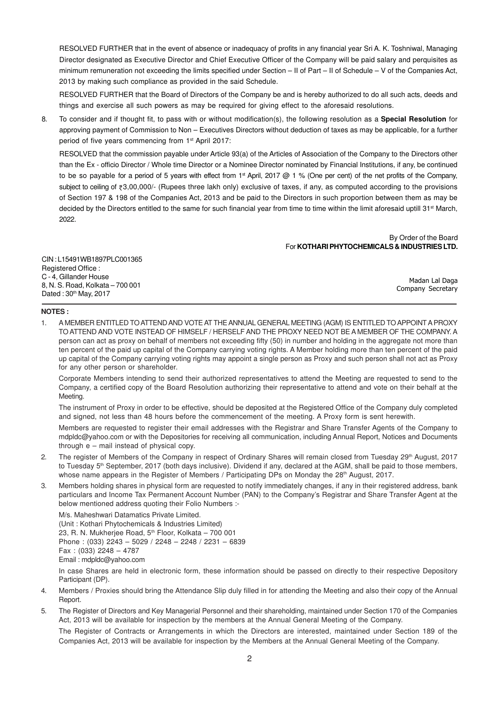RESOLVED FURTHER that in the event of absence or inadequacy of profits in any financial year Sri A. K. Toshniwal, Managing Director designated as Executive Director and Chief Executive Officer of the Company will be paid salary and perquisites as minimum remuneration not exceeding the limits specified under Section – II of Part – II of Schedule – V of the Companies Act, 2013 by making such compliance as provided in the said Schedule.

RESOLVED FURTHER that the Board of Directors of the Company be and is hereby authorized to do all such acts, deeds and things and exercise all such powers as may be required for giving effect to the aforesaid resolutions.

8. To consider and if thought fit, to pass with or without modification(s), the following resolution as a **Special Resolution** for approving payment of Commission to Non – Executives Directors without deduction of taxes as may be applicable, for a further period of five years commencing from 1<sup>st</sup> April 2017:

RESOLVED that the commission payable under Article 93(a) of the Articles of Association of the Company to the Directors other than the Ex - officio Director / Whole time Director or a Nominee Director nominated by Financial Institutions, if any, be continued to be so payable for a period of 5 years with effect from  $1$ <sup>st</sup> April, 2017 @ 1 % (One per cent) of the net profits of the Company, subject to ceiling of  $\overline{z}3,00,000/$ - (Rupees three lakh only) exclusive of taxes, if any, as computed according to the provisions of Section 197 & 198 of the Companies Act, 2013 and be paid to the Directors in such proportion between them as may be decided by the Directors entitled to the same for such financial year from time to time within the limit aforesaid uptill 31<sup>st</sup> March, 2022.

# By Order of the Board For **KOTHARI PHYTOCHEMICALS & INDUSTRIES LTD.**

CIN : L15491WB1897PLC001365 Registered Office : C - 4, Gillander House 8, N. S. Road, Kolkata – 700 001 Dated: 30<sup>th</sup> May, 2017

Madan Lal Daga Company Secretary

### **NOTES :**

1. A MEMBER ENTITLED TO ATTEND AND VOTE AT THE ANNUAL GENERAL MEETING (AGM) IS ENTITLED TO APPOINT A PROXY TO ATTEND AND VOTE INSTEAD OF HIMSELF / HERSELF AND THE PROXY NEED NOT BE A MEMBER OF THE COMPANY. A person can act as proxy on behalf of members not exceeding fifty (50) in number and holding in the aggregate not more than ten percent of the paid up capital of the Company carrying voting rights. A Member holding more than ten percent of the paid up capital of the Company carrying voting rights may appoint a single person as Proxy and such person shall not act as Proxy for any other person or shareholder.

Corporate Members intending to send their authorized representatives to attend the Meeting are requested to send to the Company, a certified copy of the Board Resolution authorizing their representative to attend and vote on their behalf at the Meeting.

The instrument of Proxy in order to be effective, should be deposited at the Registered Office of the Company duly completed and signed, not less than 48 hours before the commencement of the meeting. A Proxy form is sent herewith.

Members are requested to register their email addresses with the Registrar and Share Transfer Agents of the Company to mdpldc@yahoo.com or with the Depositories for receiving all communication, including Annual Report, Notices and Documents through e – mail instead of physical copy.

- 2. The register of Members of the Company in respect of Ordinary Shares will remain closed from Tuesday 29<sup>th</sup> August, 2017 to Tuesday 5<sup>th</sup> September, 2017 (both days inclusive). Dividend if any, declared at the AGM, shall be paid to those members, whose name appears in the Register of Members / Participating DPs on Monday the 28<sup>th</sup> August, 2017.
- 3. Members holding shares in physical form are requested to notify immediately changes, if any in their registered address, bank particulars and Income Tax Permanent Account Number (PAN) to the Company's Registrar and Share Transfer Agent at the below mentioned address quoting their Folio Numbers :-

M/s. Maheshwari Datamatics Private Limited. (Unit : Kothari Phytochemicals & Industries Limited) 23, R. N. Mukherjee Road, 5<sup>th</sup> Floor, Kolkata - 700 001 Phone : (033) 2243 – 5029 / 2248 – 2248 / 2231 – 6839 Fax : (033) 2248 – 4787 Email : mdpldc@yahoo.com

In case Shares are held in electronic form, these information should be passed on directly to their respective Depository Participant (DP).

- 4. Members / Proxies should bring the Attendance Slip duly filled in for attending the Meeting and also their copy of the Annual Report.
- 5. The Register of Directors and Key Managerial Personnel and their shareholding, maintained under Section 170 of the Companies Act, 2013 will be available for inspection by the members at the Annual General Meeting of the Company.

The Register of Contracts or Arrangements in which the Directors are interested, maintained under Section 189 of the Companies Act, 2013 will be available for inspection by the Members at the Annual General Meeting of the Company.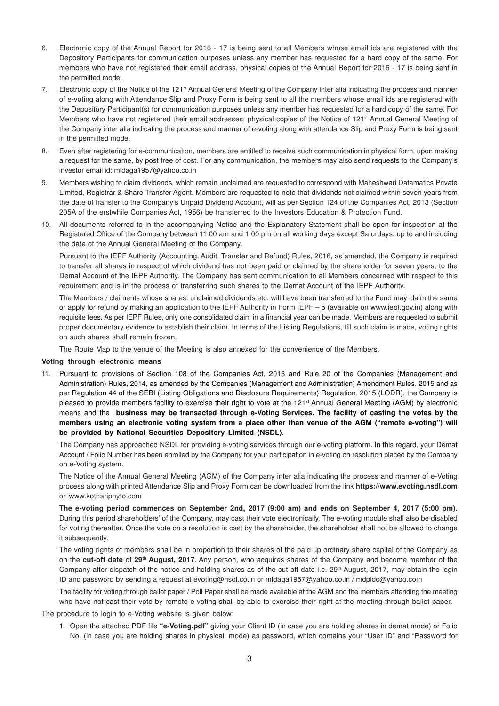- 6. Electronic copy of the Annual Report for 2016 17 is being sent to all Members whose email ids are registered with the Depository Participants for communication purposes unless any member has requested for a hard copy of the same. For members who have not registered their email address, physical copies of the Annual Report for 2016 - 17 is being sent in the permitted mode.
- 7. Electronic copy of the Notice of the 121st Annual General Meeting of the Company inter alia indicating the process and manner of e-voting along with Attendance Slip and Proxy Form is being sent to all the members whose email ids are registered with the Depository Participant(s) for communication purposes unless any member has requested for a hard copy of the same. For Members who have not registered their email addresses, physical copies of the Notice of 121<sup>st</sup> Annual General Meeting of the Company inter alia indicating the process and manner of e-voting along with attendance Slip and Proxy Form is being sent in the permitted mode.
- 8. Even after registering for e-communication, members are entitled to receive such communication in physical form, upon making a request for the same, by post free of cost. For any communication, the members may also send requests to the Company's investor email id: mldaga1957@yahoo.co.in
- 9. Members wishing to claim dividends, which remain unclaimed are requested to correspond with Maheshwari Datamatics Private Limited, Registrar & Share Transfer Agent. Members are requested to note that dividends not claimed within seven years from the date of transfer to the Company's Unpaid Dividend Account, will as per Section 124 of the Companies Act, 2013 (Section 205A of the erstwhile Companies Act, 1956) be transferred to the Investors Education & Protection Fund.
- 10. All documents referred to in the accompanying Notice and the Explanatory Statement shall be open for inspection at the Registered Office of the Company between 11.00 am and 1.00 pm on all working days except Saturdays, up to and including the date of the Annual General Meeting of the Company.

Pursuant to the IEPF Authority (Accounting, Audit, Transfer and Refund) Rules, 2016, as amended, the Company is required to transfer all shares in respect of which dividend has not been paid or claimed by the shareholder for seven years, to the Demat Account of the IEPF Authority. The Company has sent communication to all Members concerned with respect to this requirement and is in the process of transferring such shares to the Demat Account of the IEPF Authority.

The Members / claiments whose shares, unclaimed dividends etc. will have been transferred to the Fund may claim the same or apply for refund by making an application to the IEPF Authority in Form IEPF – 5 (available on www.iepf.gov.in) along with requisite fees. As per IEPF Rules, only one consolidated claim in a financial year can be made. Members are requested to submit proper documentary evidence to establish their claim. In terms of the Listing Regulations, till such claim is made, voting rights on such shares shall remain frozen.

The Route Map to the venue of the Meeting is also annexed for the convenience of the Members.

#### **Voting through electronic means**

11. Pursuant to provisions of Section 108 of the Companies Act, 2013 and Rule 20 of the Companies (Management and Administration) Rules, 2014, as amended by the Companies (Management and Administration) Amendment Rules, 2015 and as per Regulation 44 of the SEBI (Listing Obligations and Disclosure Requirements) Regulation, 2015 (LODR), the Company is pleased to provide members facility to exercise their right to vote at the 121<sup>st</sup> Annual General Meeting (AGM) by electronic means and the **business may be transacted through e-Voting Services. The facility of casting the votes by the members using an electronic voting system from a place other than venue of the AGM ("remote e-voting") will be provided by National Securities Depository Limited (NSDL)**.

The Company has approached NSDL for providing e-voting services through our e-voting platform. In this regard, your Demat Account / Folio Number has been enrolled by the Company for your participation in e-voting on resolution placed by the Company on e-Voting system.

The Notice of the Annual General Meeting (AGM) of the Company inter alia indicating the process and manner of e-Voting process along with printed Attendance Slip and Proxy Form can be downloaded from the link **https://www.evoting.nsdl.com** or www.kothariphyto.com

**The e-voting period commences on September 2nd, 2017 (9:00 am) and ends on September 4, 2017 (5:00 pm).** During this period shareholders' of the Company, may cast their vote electronically. The e-voting module shall also be disabled for voting thereafter. Once the vote on a resolution is cast by the shareholder, the shareholder shall not be allowed to change it subsequently.

The voting rights of members shall be in proportion to their shares of the paid up ordinary share capital of the Company as on the **cut-off date** of **29th August, 2017**. Any person, who acquires shares of the Company and become member of the Company after dispatch of the notice and holding shares as of the cut-off date i.e.  $29<sup>th</sup>$  August, 2017, may obtain the login ID and password by sending a request at evoting@nsdl.co.in or mldaga1957@yahoo.co.in / mdpldc@yahoo.com

The facility for voting through ballot paper / Poll Paper shall be made available at the AGM and the members attending the meeting who have not cast their vote by remote e-voting shall be able to exercise their right at the meeting through ballot paper.

The procedure to login to e-Voting website is given below:

1. Open the attached PDF file **"e-Voting.pdf"** giving your Client ID (in case you are holding shares in demat mode) or Folio No. (in case you are holding shares in physical mode) as password, which contains your "User ID" and "Password for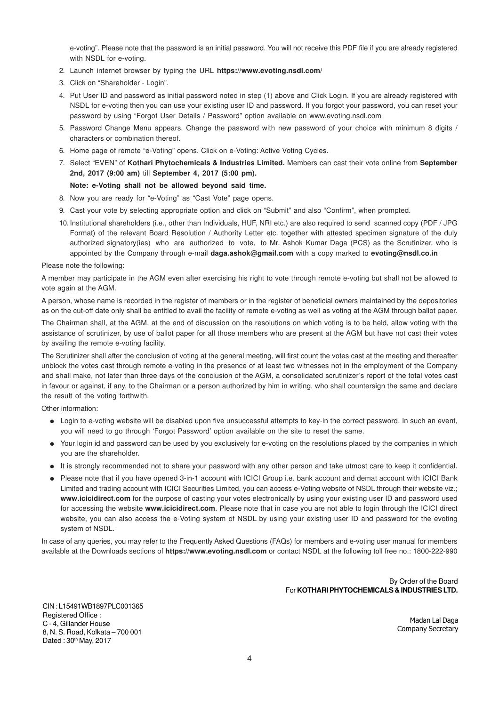e-voting". Please note that the password is an initial password. You will not receive this PDF file if you are already registered with NSDL for e-voting.

- 2. Launch internet browser by typing the URL **https://www.evoting.nsdl.com/**
- 3. Click on "Shareholder Login".
- 4. Put User ID and password as initial password noted in step (1) above and Click Login. If you are already registered with NSDL for e-voting then you can use your existing user ID and password. If you forgot your password, you can reset your password by using "Forgot User Details / Password" option available on www.evoting.nsdl.com
- 5. Password Change Menu appears. Change the password with new password of your choice with minimum 8 digits / characters or combination thereof.
- 6. Home page of remote "e-Voting" opens. Click on e-Voting: Active Voting Cycles.
- 7. Select "EVEN" of **Kothari Phytochemicals & Industries Limited.** Members can cast their vote online from **September 2nd, 2017 (9:00 am)** till **September 4, 2017 (5:00 pm).**

#### **Note: e-Voting shall not be allowed beyond said time.**

- 8. Now you are ready for "e-Voting" as "Cast Vote" page opens.
- 9. Cast your vote by selecting appropriate option and click on "Submit" and also "Confirm", when prompted.
- 10. Institutional shareholders (i.e., other than Individuals, HUF, NRI etc.) are also required to send scanned copy (PDF / JPG Format) of the relevant Board Resolution / Authority Letter etc. together with attested specimen signature of the duly authorized signatory(ies) who are authorized to vote, to Mr. Ashok Kumar Daga (PCS) as the Scrutinizer, who is appointed by the Company through e-mail **daga.ashok@gmail.com** with a copy marked to **evoting@nsdl.co.in**

#### Please note the following:

A member may participate in the AGM even after exercising his right to vote through remote e-voting but shall not be allowed to vote again at the AGM.

A person, whose name is recorded in the register of members or in the register of beneficial owners maintained by the depositories as on the cut-off date only shall be entitled to avail the facility of remote e-voting as well as voting at the AGM through ballot paper.

The Chairman shall, at the AGM, at the end of discussion on the resolutions on which voting is to be held, allow voting with the assistance of scrutinizer, by use of ballot paper for all those members who are present at the AGM but have not cast their votes by availing the remote e-voting facility.

The Scrutinizer shall after the conclusion of voting at the general meeting, will first count the votes cast at the meeting and thereafter unblock the votes cast through remote e-voting in the presence of at least two witnesses not in the employment of the Company and shall make, not later than three days of the conclusion of the AGM, a consolidated scrutinizer's report of the total votes cast in favour or against, if any, to the Chairman or a person authorized by him in writing, who shall countersign the same and declare the result of the voting forthwith.

Other information:

- Login to e-voting website will be disabled upon five unsuccessful attempts to key-in the correct password. In such an event, you will need to go through 'Forgot Password' option available on the site to reset the same.
- Your login id and password can be used by you exclusively for e-voting on the resolutions placed by the companies in which you are the shareholder.
- It is strongly recommended not to share your password with any other person and take utmost care to keep it confidential.
- Please note that if you have opened 3-in-1 account with ICICI Group i.e. bank account and demat account with ICICI Bank Limited and trading account with ICICI Securities Limited, you can access e-Voting website of NSDL through their website viz.; **www.icicidirect.com** for the purpose of casting your votes electronically by using your existing user ID and password used for accessing the website **www.icicidirect.com**. Please note that in case you are not able to login through the ICICI direct website, you can also access the e-Voting system of NSDL by using your existing user ID and password for the evoting system of NSDL.

In case of any queries, you may refer to the Frequently Asked Questions (FAQs) for members and e-voting user manual for members available at the Downloads sections of **https://www.evoting.nsdl.com** or contact NSDL at the following toll free no.: 1800-222-990

#### By Order of the Board For **KOTHARI PHYTOCHEMICALS & INDUSTRIES LTD.**

CIN : L15491WB1897PLC001365 Registered Office : C - 4, Gillander House 8, N. S. Road, Kolkata – 700 001 Dated: 30th May, 2017

Madan Lal Daga Company Secretary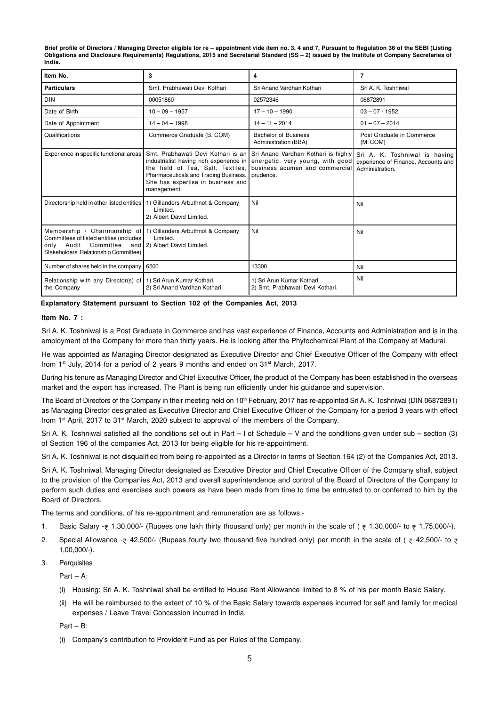**Brief profile of Directors / Managing Director eligible for re – appointment vide item no. 3, 4 and 7, Pursuant to Regulation 36 of the SEBI (Listing Obligations and Disclosure Requirements) Regulations, 2015 and Secretarial Standard (SS – 2) issued by the Institute of Company Secretaries of India.**

| Item No.                                                                                                                                                                                | 3                                                                                                                                                                                                               | 4                                                                                                                      | 7                                                                                       |
|-----------------------------------------------------------------------------------------------------------------------------------------------------------------------------------------|-----------------------------------------------------------------------------------------------------------------------------------------------------------------------------------------------------------------|------------------------------------------------------------------------------------------------------------------------|-----------------------------------------------------------------------------------------|
| <b>Particulars</b>                                                                                                                                                                      | Smt. Prabhawati Devi Kothari                                                                                                                                                                                    | Sri Anand Vardhan Kothari                                                                                              | Sri A. K. Toshniwal                                                                     |
| <b>DIN</b>                                                                                                                                                                              | 00051860                                                                                                                                                                                                        | 02572346                                                                                                               | 06872891                                                                                |
| Date of Birth                                                                                                                                                                           | $10 - 09 - 1957$                                                                                                                                                                                                | $17 - 10 - 1990$                                                                                                       | $03 - 07 - 1952$                                                                        |
| Date of Appointment                                                                                                                                                                     | $14 - 04 - 1998$                                                                                                                                                                                                | $14 - 11 - 2014$                                                                                                       | $01 - 07 - 2014$                                                                        |
| Qualifications                                                                                                                                                                          | Commerce Graduate (B. COM)                                                                                                                                                                                      | <b>Bachelor of Business</b><br>Administration (BBA)                                                                    | Post Graduate in Commerce<br>(M. COM)                                                   |
| Experience in specific functional areas                                                                                                                                                 | Smt. Prabhawati Devi Kothari is an<br>industrialist having rich experience in<br>the field of Tea, Salt, Textiles,<br>Pharmaceuticals and Trading Business.<br>She has expertise in business and<br>management. | Sri Anand Vardhan Kothari is highly<br>energetic, very young, with good<br>business acumen and commercial<br>prudence. | Sri A. K. Toshniwal is having<br>experience of Finance, Accounts and<br>Administration. |
| Directorship held in other listed entities                                                                                                                                              | 1) Gillanders Arbuthnot & Company<br>Limited.<br>2) Albert David Limited.                                                                                                                                       | Nil                                                                                                                    | Nil                                                                                     |
| Membership / Chairmanship of 1) Gillanders Arbuthnot & Company<br>Committees of listed entities (includes<br>Audit<br>Committee<br>only<br>and<br>Stakeholders' Relationship Committee) | Limited.<br>2) Albert David Limited.                                                                                                                                                                            | Nil                                                                                                                    | Nil                                                                                     |
| Number of shares held in the company                                                                                                                                                    | 6500                                                                                                                                                                                                            | 13300                                                                                                                  | Nil                                                                                     |
| Relationship with any Director(s) of 1) Sri Arun Kumar Kothari.<br>the Company                                                                                                          | 2) Sri Anand Vardhan Kothari.                                                                                                                                                                                   | 1) Sri Arun Kumar Kothari.<br>2) Smt. Prabhawati Devi Kothari.                                                         | Nil                                                                                     |

**Explanatory Statement pursuant to Section 102 of the Companies Act, 2013**

#### **Item No. 7 :**

Sri A. K. Toshniwal is a Post Graduate in Commerce and has vast experience of Finance, Accounts and Administration and is in the employment of the Company for more than thirty years. He is looking after the Phytochemical Plant of the Company at Madurai.

He was appointed as Managing Director designated as Executive Director and Chief Executive Officer of the Company with effect from 1st July, 2014 for a period of 2 years 9 months and ended on  $31<sup>st</sup>$  March, 2017.

During his tenure as Managing Director and Chief Executive Officer, the product of the Company has been established in the overseas market and the export has increased. The Plant is being run efficiently under his guidance and supervision.

The Board of Directors of the Company in their meeting held on 10<sup>th</sup> February, 2017 has re-appointed Sri A. K. Toshniwal (DIN 06872891) as Managing Director designated as Executive Director and Chief Executive Officer of the Company for a period 3 years with effect from 1st April, 2017 to 31st March, 2020 subject to approval of the members of the Company.

Sri A. K. Toshniwal satisfied all the conditions set out in Part – I of Schedule – V and the conditions given under sub – section (3) of Section 196 of the companies Act, 2013 for being eligible for his re-appointment.

Sri A. K. Toshniwal is not disqualified from being re-appointed as a Director in terms of Section 164 (2) of the Companies Act, 2013.

Sri A. K. Toshniwal, Managing Director designated as Executive Director and Chief Executive Officer of the Company shall, subject to the provision of the Companies Act, 2013 and overall superintendence and control of the Board of Directors of the Company to perform such duties and exercises such powers as have been made from time to time be entrusted to or conferred to him by the Board of Directors.

The terms and conditions, of his re-appointment and remuneration are as follows:-

- 1. Basic Salary  $\bar{z}$  1,30,000/- (Rupees one lakh thirty thousand only) per month in the scale of ( $\bar{z}$  1,30,000/- to  $\bar{z}$  1,75,000/-).
- 2. Special Allowance  $-\bar{\tau}$  42,500/- (Rupees fourty two thousand five hundred only) per month in the scale of ( $\bar{\tau}$  42,500/- to  $\bar{\tau}$ 1,00,000/-).

3. Perquisites

Part – A:

- (i) Housing: Sri A. K. Toshniwal shall be entitled to House Rent Allowance limited to 8 % of his per month Basic Salary.
- (ii) He will be reimbursed to the extent of 10 % of the Basic Salary towards expenses incurred for self and family for medical expenses / Leave Travel Concession incurred in India.

Part – B:

(i) Company's contribution to Provident Fund as per Rules of the Company.